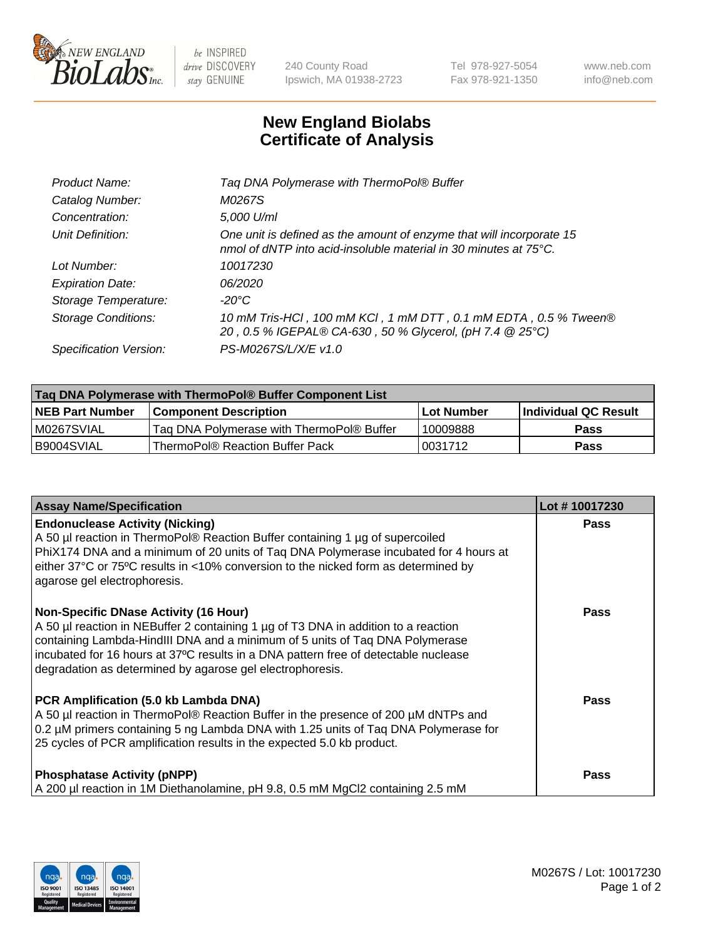

 $be$  INSPIRED drive DISCOVERY stay GENUINE

240 County Road Ipswich, MA 01938-2723 Tel 978-927-5054 Fax 978-921-1350 www.neb.com info@neb.com

## **New England Biolabs Certificate of Analysis**

| Product Name:              | Tag DNA Polymerase with ThermoPol® Buffer                                                                                                |
|----------------------------|------------------------------------------------------------------------------------------------------------------------------------------|
| Catalog Number:            | M0267S                                                                                                                                   |
| Concentration:             | 5,000 U/ml                                                                                                                               |
| Unit Definition:           | One unit is defined as the amount of enzyme that will incorporate 15<br>nmol of dNTP into acid-insoluble material in 30 minutes at 75°C. |
| Lot Number:                | 10017230                                                                                                                                 |
| <b>Expiration Date:</b>    | 06/2020                                                                                                                                  |
| Storage Temperature:       | $-20^{\circ}$ C                                                                                                                          |
| <b>Storage Conditions:</b> | 10 mM Tris-HCl, 100 mM KCl, 1 mM DTT, 0.1 mM EDTA, 0.5 % Tween®<br>20, 0.5 % IGEPAL® CA-630, 50 % Glycerol, (pH 7.4 @ 25°C)              |
| Specification Version:     | PS-M0267S/L/X/E v1.0                                                                                                                     |

| Taq DNA Polymerase with ThermoPol® Buffer Component List |                                           |                   |                      |  |
|----------------------------------------------------------|-------------------------------------------|-------------------|----------------------|--|
| <b>NEB Part Number</b>                                   | <b>Component Description</b>              | <b>Lot Number</b> | Individual QC Result |  |
| M0267SVIAL                                               | Taq DNA Polymerase with ThermoPol® Buffer | 10009888          | <b>Pass</b>          |  |
| I B9004SVIAL                                             | ThermoPol® Reaction Buffer Pack           | 10031712          | Pass                 |  |

| <b>Assay Name/Specification</b>                                                                                                                                                                                                                                                                                                                                        | Lot #10017230 |
|------------------------------------------------------------------------------------------------------------------------------------------------------------------------------------------------------------------------------------------------------------------------------------------------------------------------------------------------------------------------|---------------|
| <b>Endonuclease Activity (Nicking)</b><br>A 50 µl reaction in ThermoPol® Reaction Buffer containing 1 µg of supercoiled<br>PhiX174 DNA and a minimum of 20 units of Taq DNA Polymerase incubated for 4 hours at<br>either 37°C or 75°C results in <10% conversion to the nicked form as determined by<br>agarose gel electrophoresis.                                  | <b>Pass</b>   |
| <b>Non-Specific DNase Activity (16 Hour)</b><br>A 50 µl reaction in NEBuffer 2 containing 1 µg of T3 DNA in addition to a reaction<br>containing Lambda-HindIII DNA and a minimum of 5 units of Taq DNA Polymerase<br>incubated for 16 hours at 37°C results in a DNA pattern free of detectable nuclease<br>degradation as determined by agarose gel electrophoresis. | <b>Pass</b>   |
| PCR Amplification (5.0 kb Lambda DNA)<br>A 50 µl reaction in ThermoPol® Reaction Buffer in the presence of 200 µM dNTPs and<br>0.2 µM primers containing 5 ng Lambda DNA with 1.25 units of Taq DNA Polymerase for<br>25 cycles of PCR amplification results in the expected 5.0 kb product.                                                                           | Pass          |
| <b>Phosphatase Activity (pNPP)</b><br>A 200 µl reaction in 1M Diethanolamine, pH 9.8, 0.5 mM MgCl2 containing 2.5 mM                                                                                                                                                                                                                                                   | <b>Pass</b>   |